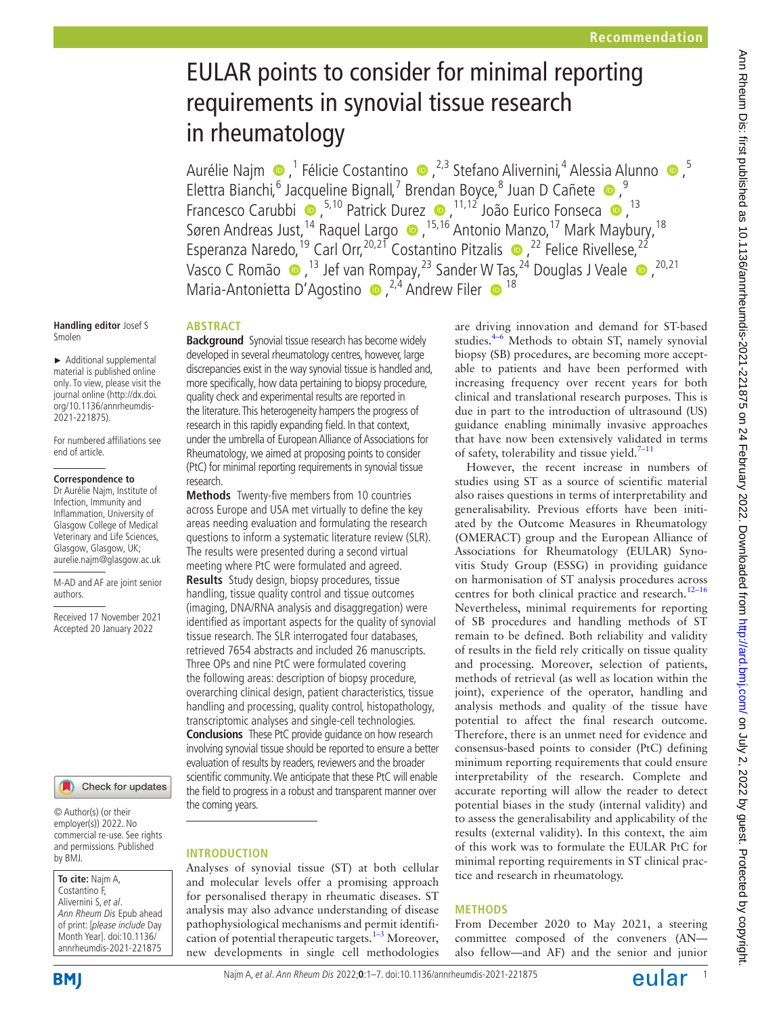# EULAR points to consider for minimal reporting requirements in synovial tissue research in rheumatology

AurélieNajm ●,<sup>1</sup> Félicie Costantino ●,<sup>2,3</sup> Stefano Alivernini,<sup>4</sup> Alessia Alunno ●,<sup>5</sup> ElettraBianchi, <sup>6</sup> Jacqueline Bignall, <sup>7</sup> Brendan Boyce, <sup>8</sup> Juan D Cañete <sup>®</sup>, Francesco Carubbi  $\bullet$ ,<sup>5,10</sup> Patrick Durez  $\bullet$ ,<sup>11,12</sup> João Eurico Fonseca  $\bullet$ ,<sup>13</sup> SørenAndreas Just,<sup>14</sup> Raquel Largo  $\bullet$  ,<sup>15,16</sup> Antonio Manzo,<sup>17</sup> Mark Maybury,<sup>18</sup> EsperanzaNaredo,<sup>19</sup> Carl Orr,<sup>20,21</sup> Costantino Pitzalis  $\bullet$ , <sup>22</sup> Felice Rivellese, <sup>22</sup> VascoC Romão  $\bullet$ , <sup>13</sup> Jef van Rompay, <sup>23</sup> Sander W Tas, <sup>24</sup> Douglas J Veale  $\bullet$ , <sup>20,21</sup> Maria-Antonietta D'Agostino  $\bullet$ , <sup>2,4</sup> Andrew Filer  $\bullet$ <sup>18</sup>

#### **Handling editor** Josef S Smolen

► Additional supplemental material is published online only. To view, please visit the journal online ([http://dx.doi.](http://dx.doi.org/10.1136/annrheumdis-2021-221875) [org/10.1136/annrheumdis-](http://dx.doi.org/10.1136/annrheumdis-2021-221875)[2021-221875\)](http://dx.doi.org/10.1136/annrheumdis-2021-221875).

For numbered affiliations see end of article.

#### **Correspondence to**

Dr Aurélie Najm, Institute of Infection, Immunity and Inflammation, University of Glasgow College of Medical Veterinary and Life Sciences, Glasgow, Glasgow, UK; aurelie.najm@glasgow.ac.uk

M-AD and AF are joint senior authors.

Received 17 November 2021 Accepted 20 January 2022



© Author(s) (or their employer(s)) 2022. No commercial re-use. See rights and permissions. Published by BMJ.

#### **To cite:** Najm A, Costantino F, Alivernini S, et al. Ann Rheum Dis Epub ahead of print: [please include Day Month Year]. doi:10.1136/ annrheumdis-2021-221875

**BMI** 

# **ABSTRACT**

**Background** Synovial tissue research has become widely developed in several rheumatology centres, however, large discrepancies exist in the way synovial tissue is handled and, more specifically, how data pertaining to biopsy procedure, quality check and experimental results are reported in the literature. This heterogeneity hampers the progress of research in this rapidly expanding field. In that context, under the umbrella of European Alliance of Associations for Rheumatology, we aimed at proposing points to consider (PtC) for minimal reporting requirements in synovial tissue research.

**Methods** Twenty-five members from 10 countries across Europe and USA met virtually to define the key areas needing evaluation and formulating the research questions to inform a systematic literature review (SLR). The results were presented during a second virtual meeting where PtC were formulated and agreed. **Results** Study design, biopsy procedures, tissue handling, tissue quality control and tissue outcomes (imaging, DNA/RNA analysis and disaggregation) were identified as important aspects for the quality of synovial tissue research. The SLR interrogated four databases, retrieved 7654 abstracts and included 26 manuscripts. Three OPs and nine PtC were formulated covering the following areas: description of biopsy procedure, overarching clinical design, patient characteristics, tissue handling and processing, quality control, histopathology, transcriptomic analyses and single-cell technologies. **Conclusions** These PtC provide guidance on how research involving synovial tissue should be reported to ensure a better evaluation of results by readers, reviewers and the broader scientific community. We anticipate that these PtC will enable the field to progress in a robust and transparent manner over the coming years.

# **INTRODUCTION**

Analyses of synovial tissue (ST) at both cellular and molecular levels offer a promising approach for personalised therapy in rheumatic diseases. ST analysis may also advance understanding of disease pathophysiological mechanisms and permit identification of potential therapeutic targets. $1-3$  Moreover, new developments in single cell methodologies are driving innovation and demand for ST-based studies.[4–6](#page-5-1) Methods to obtain ST, namely synovial biopsy (SB) procedures, are becoming more acceptable to patients and have been performed with increasing frequency over recent years for both clinical and translational research purposes. This is due in part to the introduction of ultrasound (US) guidance enabling minimally invasive approaches that have now been extensively validated in terms of safety, tolerability and tissue yield[.7–11](#page-5-2)

However, the recent increase in numbers of studies using ST as a source of scientific material also raises questions in terms of interpretability and generalisability. Previous efforts have been initiated by the Outcome Measures in Rheumatology (OMERACT) group and the European Alliance of Associations for Rheumatology (EULAR) Synovitis Study Group (ESSG) in providing guidance on harmonisation of ST analysis procedures across centres for both clinical practice and research.<sup>12-16</sup> Nevertheless, minimal requirements for reporting of SB procedures and handling methods of ST remain to be defined. Both reliability and validity of results in the field rely critically on tissue quality and processing. Moreover, selection of patients, methods of retrieval (as well as location within the joint), experience of the operator, handling and analysis methods and quality of the tissue have potential to affect the final research outcome. Therefore, there is an unmet need for evidence and consensus-based points to consider (PtC) defining minimum reporting requirements that could ensure interpretability of the research. Complete and accurate reporting will allow the reader to detect potential biases in the study (internal validity) and to assess the generalisability and applicability of the results (external validity). In this context, the aim of this work was to formulate the EULAR PtC for minimal reporting requirements in ST clinical practice and research in rheumatology.

# **METHODS**

From December 2020 to May 2021, a steering committee composed of the conveners (AN also fellow—and AF) and the senior and junior

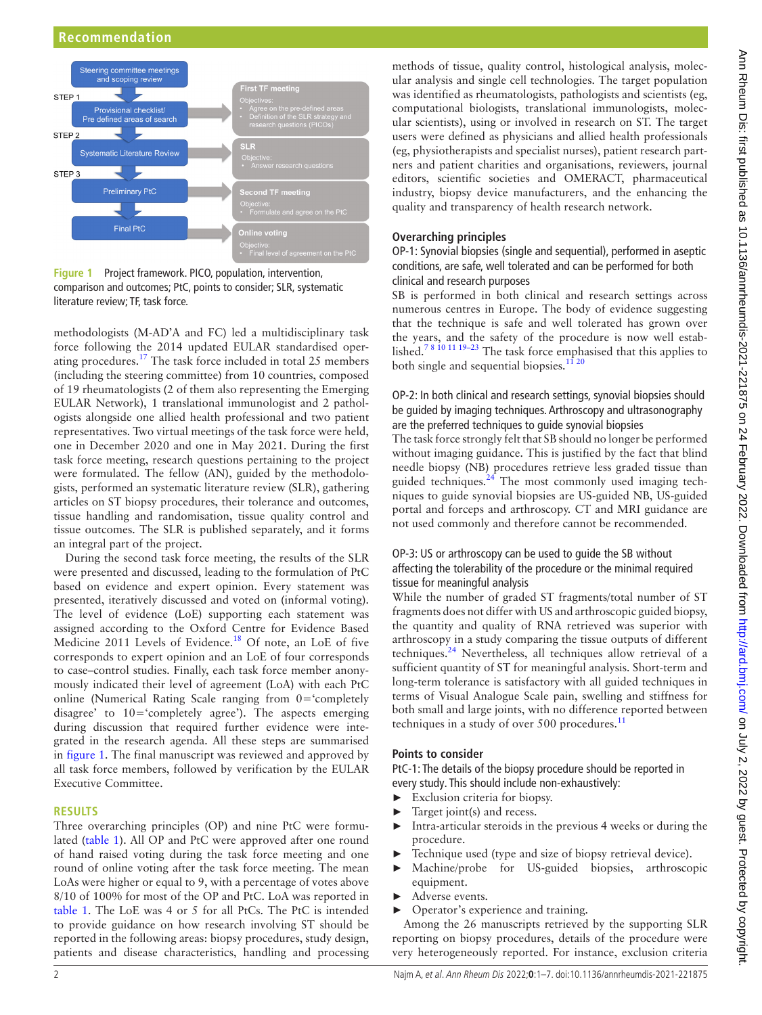# **Recommendation**



<span id="page-1-0"></span>**Figure 1** Project framework. PICO, population, intervention, comparison and outcomes; PtC, points to consider; SLR, systematic literature review; TF, task force.

methodologists (M-AD'A and FC) led a multidisciplinary task force following the 2014 updated EULAR standardised oper-ating procedures.<sup>[17](#page-5-4)</sup> The task force included in total 25 members (including the steering committee) from 10 countries, composed of 19 rheumatologists (2 of them also representing the Emerging EULAR Network), 1 translational immunologist and 2 pathologists alongside one allied health professional and two patient representatives. Two virtual meetings of the task force were held, one in December 2020 and one in May 2021. During the first task force meeting, research questions pertaining to the project were formulated. The fellow (AN), guided by the methodologists, performed an systematic literature review (SLR), gathering articles on ST biopsy procedures, their tolerance and outcomes, tissue handling and randomisation, tissue quality control and tissue outcomes. The SLR is published separately, and it forms an integral part of the project.

During the second task force meeting, the results of the SLR were presented and discussed, leading to the formulation of PtC based on evidence and expert opinion. Every statement was presented, iteratively discussed and voted on (informal voting). The level of evidence (LoE) supporting each statement was assigned according to the Oxford Centre for Evidence Based Medicine 2011 Levels of Evidence.<sup>18</sup> Of note, an LoE of five corresponds to expert opinion and an LoE of four corresponds to case–control studies. Finally, each task force member anonymously indicated their level of agreement (LoA) with each PtC online (Numerical Rating Scale ranging from 0='completely disagree' to 10='completely agree'). The aspects emerging during discussion that required further evidence were integrated in the research agenda. All these steps are summarised in [figure](#page-1-0) 1. The final manuscript was reviewed and approved by all task force members, followed by verification by the EULAR Executive Committee.

#### **RESULTS**

Three overarching principles (OP) and nine PtC were formulated ([table](#page-2-0) 1). All OP and PtC were approved after one round of hand raised voting during the task force meeting and one round of online voting after the task force meeting. The mean LoAs were higher or equal to 9, with a percentage of votes above 8/10 of 100% for most of the OP and PtC. LoA was reported in [table](#page-2-0) 1. The LoE was 4 or 5 for all PtCs. The PtC is intended to provide guidance on how research involving ST should be reported in the following areas: biopsy procedures, study design, patients and disease characteristics, handling and processing

methods of tissue, quality control, histological analysis, molecular analysis and single cell technologies. The target population was identified as rheumatologists, pathologists and scientists (eg, computational biologists, translational immunologists, molecular scientists), using or involved in research on ST. The target users were defined as physicians and allied health professionals (eg, physiotherapists and specialist nurses), patient research partners and patient charities and organisations, reviewers, journal editors, scientific societies and OMERACT, pharmaceutical industry, biopsy device manufacturers, and the enhancing the quality and transparency of health research network.

## **Overarching principles**

OP-1: Synovial biopsies (single and sequential), performed in aseptic conditions, are safe, well tolerated and can be performed for both clinical and research purposes

SB is performed in both clinical and research settings across numerous centres in Europe. The body of evidence suggesting that the technique is safe and well tolerated has grown over the years, and the safety of the procedure is now well established.[7 8 10 11 19–23](#page-5-2) The task force emphasised that this applies to both single and sequential biopsies.<sup>1120</sup>

# OP-2: In both clinical and research settings, synovial biopsies should be guided by imaging techniques. Arthroscopy and ultrasonography are the preferred techniques to guide synovial biopsies

The task force strongly felt that SB should no longer be performed without imaging guidance. This is justified by the fact that blind needle biopsy (NB) procedures retrieve less graded tissue than guided techniques. $24$  The most commonly used imaging techniques to guide synovial biopsies are US-guided NB, US-guided portal and forceps and arthroscopy. CT and MRI guidance are not used commonly and therefore cannot be recommended.

#### OP-3: US or arthroscopy can be used to guide the SB without affecting the tolerability of the procedure or the minimal required tissue for meaningful analysis

While the number of graded ST fragments/total number of ST fragments does not differ with US and arthroscopic guided biopsy, the quantity and quality of RNA retrieved was superior with arthroscopy in a study comparing the tissue outputs of different techniques[.24](#page-5-7) Nevertheless, all techniques allow retrieval of a sufficient quantity of ST for meaningful analysis. Short-term and long-term tolerance is satisfactory with all guided techniques in terms of Visual Analogue Scale pain, swelling and stiffness for both small and large joints, with no difference reported between techniques in a study of over 500 procedures. $^{11}$  $^{11}$  $^{11}$ 

#### **Points to consider**

PtC-1: The details of the biopsy procedure should be reported in every study. This should include non-exhaustively:

- ► Exclusion criteria for biopsy.
- Target joint(s) and recess.
- ► Intra-articular steroids in the previous 4 weeks or during the procedure.
- Technique used (type and size of biopsy retrieval device).
- Machine/probe for US-guided biopsies, arthroscopic equipment.
- Adverse events.
- ► Operator's experience and training.

Among the 26 manuscripts retrieved by the supporting SLR reporting on biopsy procedures, details of the procedure were very heterogeneously reported. For instance, exclusion criteria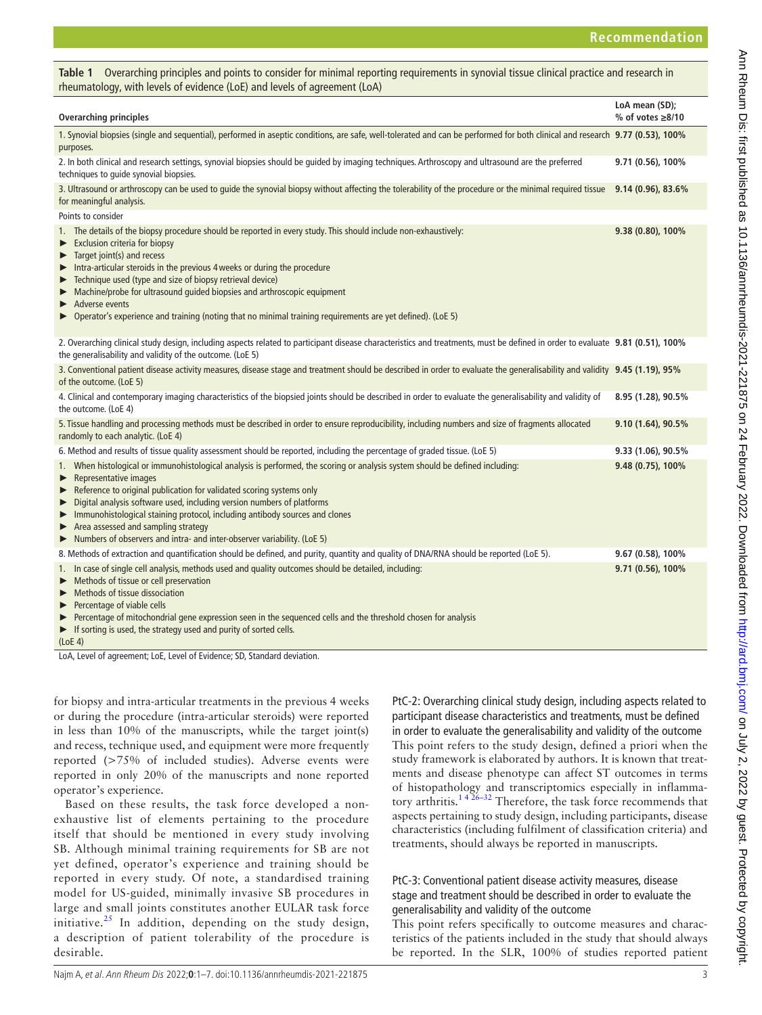<span id="page-2-0"></span>

| Table 1 Overarching principles and points to consider for minimal reporting requirements in synovial tissue clinical practice and research in<br>rheumatology, with levels of evidence (LoE) and levels of agreement (LoA)                                                                                                                                                                                                                                                                                                                                                   |                                          |
|------------------------------------------------------------------------------------------------------------------------------------------------------------------------------------------------------------------------------------------------------------------------------------------------------------------------------------------------------------------------------------------------------------------------------------------------------------------------------------------------------------------------------------------------------------------------------|------------------------------------------|
| <b>Overarching principles</b>                                                                                                                                                                                                                                                                                                                                                                                                                                                                                                                                                | LoA mean (SD);<br>% of votes $\geq 8/10$ |
| 1. Synovial biopsies (single and sequential), performed in aseptic conditions, are safe, well-tolerated and can be performed for both clinical and research 9.77 (0.53), 100%<br>purposes.                                                                                                                                                                                                                                                                                                                                                                                   |                                          |
| 2. In both clinical and research settings, synovial biopsies should be guided by imaging techniques. Arthroscopy and ultrasound are the preferred<br>techniques to quide synovial biopsies.                                                                                                                                                                                                                                                                                                                                                                                  | 9.71 (0.56), 100%                        |
| 3. Ultrasound or arthroscopy can be used to guide the synovial biopsy without affecting the tolerability of the procedure or the minimal required tissue 9.14 (0.96), 83.6%<br>for meaningful analysis.                                                                                                                                                                                                                                                                                                                                                                      |                                          |
| Points to consider                                                                                                                                                                                                                                                                                                                                                                                                                                                                                                                                                           |                                          |
| 1. The details of the biopsy procedure should be reported in every study. This should include non-exhaustively:<br><b>Exclusion criteria for biopsy</b><br>▶<br>Target joint(s) and recess<br>▶<br>Intra-articular steroids in the previous 4 weeks or during the procedure<br>▶<br>Technique used (type and size of biopsy retrieval device)<br>▶<br>Machine/probe for ultrasound quided biopsies and arthroscopic equipment<br>▶<br>Adverse events<br>▶<br>Operator's experience and training (noting that no minimal training requirements are yet defined). (LoE 5)<br>▶ | 9.38 (0.80), 100%                        |
|                                                                                                                                                                                                                                                                                                                                                                                                                                                                                                                                                                              |                                          |
| 2. Overarching clinical study design, including aspects related to participant disease characteristics and treatments, must be defined in order to evaluate 9.81 (0.51), 100%<br>the generalisability and validity of the outcome. (LoE 5)                                                                                                                                                                                                                                                                                                                                   |                                          |
| 3. Conventional patient disease activity measures, disease stage and treatment should be described in order to evaluate the generalisability and validity 9.45 (1.19), 95%<br>of the outcome. (LoE 5)                                                                                                                                                                                                                                                                                                                                                                        |                                          |
| 4. Clinical and contemporary imaging characteristics of the biopsied joints should be described in order to evaluate the generalisability and validity of<br>the outcome. (LoE 4)                                                                                                                                                                                                                                                                                                                                                                                            | 8.95 (1.28), 90.5%                       |
| 5. Tissue handling and processing methods must be described in order to ensure reproducibility, including numbers and size of fragments allocated<br>randomly to each analytic. (LoE 4)                                                                                                                                                                                                                                                                                                                                                                                      | 9.10 (1.64), 90.5%                       |
| 6. Method and results of tissue quality assessment should be reported, including the percentage of graded tissue. (LoE 5)                                                                                                                                                                                                                                                                                                                                                                                                                                                    | 9.33 (1.06), 90.5%                       |
| 1. When histological or immunohistological analysis is performed, the scoring or analysis system should be defined including:<br>Representative images<br>▶<br>Reference to original publication for validated scoring systems only<br>Digital analysis software used, including version numbers of platforms<br>▶<br>Immunohistological staining protocol, including antibody sources and clones<br>▶<br>$\blacktriangleright$ Area assessed and sampling strategy<br>Numbers of observers and intra- and inter-observer variability. (LoE 5)                               | 9.48 (0.75), 100%                        |
| 8. Methods of extraction and quantification should be defined, and purity, quantity and quality of DNA/RNA should be reported (LoE 5).                                                                                                                                                                                                                                                                                                                                                                                                                                       | 9.67 (0.58), 100%                        |
| 1. In case of single cell analysis, methods used and quality outcomes should be detailed, including:<br>Methods of tissue or cell preservation<br>Methods of tissue dissociation<br>▶<br>Percentage of viable cells<br>▶<br>Percentage of mitochondrial gene expression seen in the sequenced cells and the threshold chosen for analysis<br>If sorting is used, the strategy used and purity of sorted cells.<br>▶                                                                                                                                                          | 9.71 (0.56), 100%                        |

(LoE 4)

LoA, Level of agreement; LoE, Level of Evidence; SD, Standard deviation.

for biopsy and intra-articular treatments in the previous 4 weeks or during the procedure (intra-articular steroids) were reported in less than 10% of the manuscripts, while the target joint(s) and recess, technique used, and equipment were more frequently reported (>75% of included studies). Adverse events were reported in only 20% of the manuscripts and none reported operator's experience.

Based on these results, the task force developed a nonexhaustive list of elements pertaining to the procedure itself that should be mentioned in every study involving SB. Although minimal training requirements for SB are not yet defined, operator's experience and training should be reported in every study. Of note, a standardised training model for US-guided, minimally invasive SB procedures in large and small joints constitutes another EULAR task force initiative.<sup>[25](#page-5-8)</sup> In addition, depending on the study design, a description of patient tolerability of the procedure is desirable.

PtC-2: Overarching clinical study design, including aspects related to participant disease characteristics and treatments, must be defined in order to evaluate the generalisability and validity of the outcome This point refers to the study design, defined a priori when the study framework is elaborated by authors. It is known that treatments and disease phenotype can affect ST outcomes in terms of histopathology and transcriptomics especially in inflammatory arthritis.<sup>1426–32</sup> Therefore, the task force recommends that aspects pertaining to study design, including participants, disease characteristics (including fulfilment of classification criteria) and treatments, should always be reported in manuscripts.

# PtC-3: Conventional patient disease activity measures, disease stage and treatment should be described in order to evaluate the generalisability and validity of the outcome

This point refers specifically to outcome measures and characteristics of the patients included in the study that should always be reported. In the SLR, 100% of studies reported patient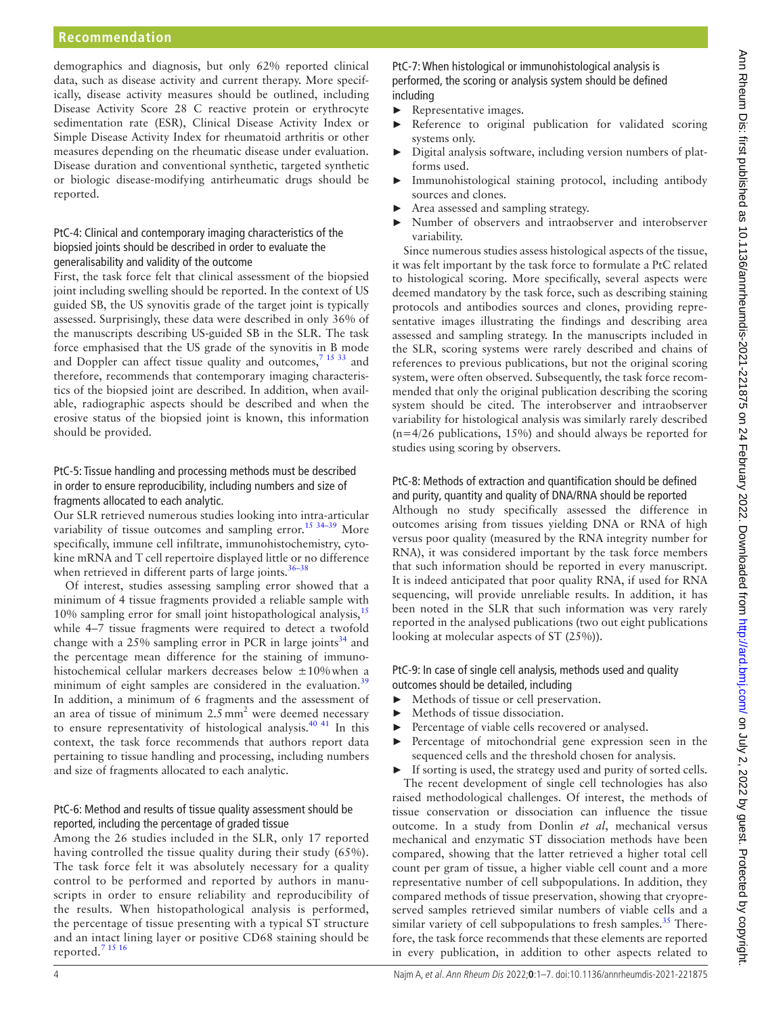demographics and diagnosis, but only 62% reported clinical data, such as disease activity and current therapy. More specifically, disease activity measures should be outlined, including Disease Activity Score 28 C reactive protein or erythrocyte sedimentation rate (ESR), Clinical Disease Activity Index or Simple Disease Activity Index for rheumatoid arthritis or other measures depending on the rheumatic disease under evaluation. Disease duration and conventional synthetic, targeted synthetic or biologic disease-modifying antirheumatic drugs should be reported.

#### PtC-4: Clinical and contemporary imaging characteristics of the biopsied joints should be described in order to evaluate the generalisability and validity of the outcome

First, the task force felt that clinical assessment of the biopsied joint including swelling should be reported. In the context of US guided SB, the US synovitis grade of the target joint is typically assessed. Surprisingly, these data were described in only 36% of the manuscripts describing US-guided SB in the SLR. The task force emphasised that the US grade of the synovitis in B mode and Doppler can affect tissue quality and outcomes,<sup>7 15 33</sup> and therefore, recommends that contemporary imaging characteristics of the biopsied joint are described. In addition, when available, radiographic aspects should be described and when the erosive status of the biopsied joint is known, this information should be provided.

### PtC-5: Tissue handling and processing methods must be described in order to ensure reproducibility, including numbers and size of fragments allocated to each analytic.

Our SLR retrieved numerous studies looking into intra-articular variability of tissue outcomes and sampling error.<sup>15 34–39</sup> More specifically, immune cell infiltrate, immunohistochemistry, cytokine mRNA and T cell repertoire displayed little or no difference when retrieved in different parts of large joints. $36-38$ 

Of interest, studies assessing sampling error showed that a minimum of 4 tissue fragments provided a reliable sample with 10% sampling error for small joint histopathological analysis,  $15$ while 4–7 tissue fragments were required to detect a twofold change with a  $25\%$  sampling error in PCR in large joints<sup>[34](#page-5-11)</sup> and the percentage mean difference for the staining of immunohistochemical cellular markers decreases below ±10%when a minimum of eight samples are considered in the evaluation.<sup>[39](#page-6-0)</sup> In addition, a minimum of 6 fragments and the assessment of an area of tissue of minimum  $2.5 \text{ mm}^2$  were deemed necessary to ensure representativity of histological analysis.<sup>40 41</sup> In this context, the task force recommends that authors report data pertaining to tissue handling and processing, including numbers and size of fragments allocated to each analytic.

#### PtC-6: Method and results of tissue quality assessment should be reported, including the percentage of graded tissue

Among the 26 studies included in the SLR, only 17 reported having controlled the tissue quality during their study (65%). The task force felt it was absolutely necessary for a quality control to be performed and reported by authors in manuscripts in order to ensure reliability and reproducibility of the results. When histopathological analysis is performed, the percentage of tissue presenting with a typical ST structure and an intact lining layer or positive CD68 staining should be reported.[7 15 16](#page-5-2)

PtC-7: When histological or immunohistological analysis is performed, the scoring or analysis system should be defined including

- $\blacktriangleright$  Representative images.
- Reference to original publication for validated scoring systems only.
- ► Digital analysis software, including version numbers of platforms used.
- Immunohistological staining protocol, including antibody sources and clones.
- Area assessed and sampling strategy.
- Number of observers and intraobserver and interobserver variability.

Since numerous studies assess histological aspects of the tissue, it was felt important by the task force to formulate a PtC related to histological scoring. More specifically, several aspects were deemed mandatory by the task force, such as describing staining protocols and antibodies sources and clones, providing representative images illustrating the findings and describing area assessed and sampling strategy. In the manuscripts included in the SLR, scoring systems were rarely described and chains of references to previous publications, but not the original scoring system, were often observed. Subsequently, the task force recommended that only the original publication describing the scoring system should be cited. The interobserver and intraobserver variability for histological analysis was similarly rarely described (n=4/26 publications, 15%) and should always be reported for studies using scoring by observers.

# PtC-8: Methods of extraction and quantification should be defined

and purity, quantity and quality of DNA/RNA should be reported Although no study specifically assessed the difference in outcomes arising from tissues yielding DNA or RNA of high versus poor quality (measured by the RNA integrity number for RNA), it was considered important by the task force members that such information should be reported in every manuscript. It is indeed anticipated that poor quality RNA, if used for RNA sequencing, will provide unreliable results. In addition, it has been noted in the SLR that such information was very rarely reported in the analysed publications (two out eight publications looking at molecular aspects of ST (25%)).

# PtC-9: In case of single cell analysis, methods used and quality outcomes should be detailed, including

- ► Methods of tissue or cell preservation.
- Methods of tissue dissociation.
- Percentage of viable cells recovered or analysed.
- Percentage of mitochondrial gene expression seen in the sequenced cells and the threshold chosen for analysis.
- If sorting is used, the strategy used and purity of sorted cells.

The recent development of single cell technologies has also raised methodological challenges. Of interest, the methods of tissue conservation or dissociation can influence the tissue outcome. In a study from Donlin *et al*, mechanical versus mechanical and enzymatic ST dissociation methods have been compared, showing that the latter retrieved a higher total cell count per gram of tissue, a higher viable cell count and a more representative number of cell subpopulations. In addition, they compared methods of tissue preservation, showing that cryopreserved samples retrieved similar numbers of viable cells and a similar variety of cell subpopulations to fresh samples.<sup>35</sup> Therefore, the task force recommends that these elements are reported in every publication, in addition to other aspects related to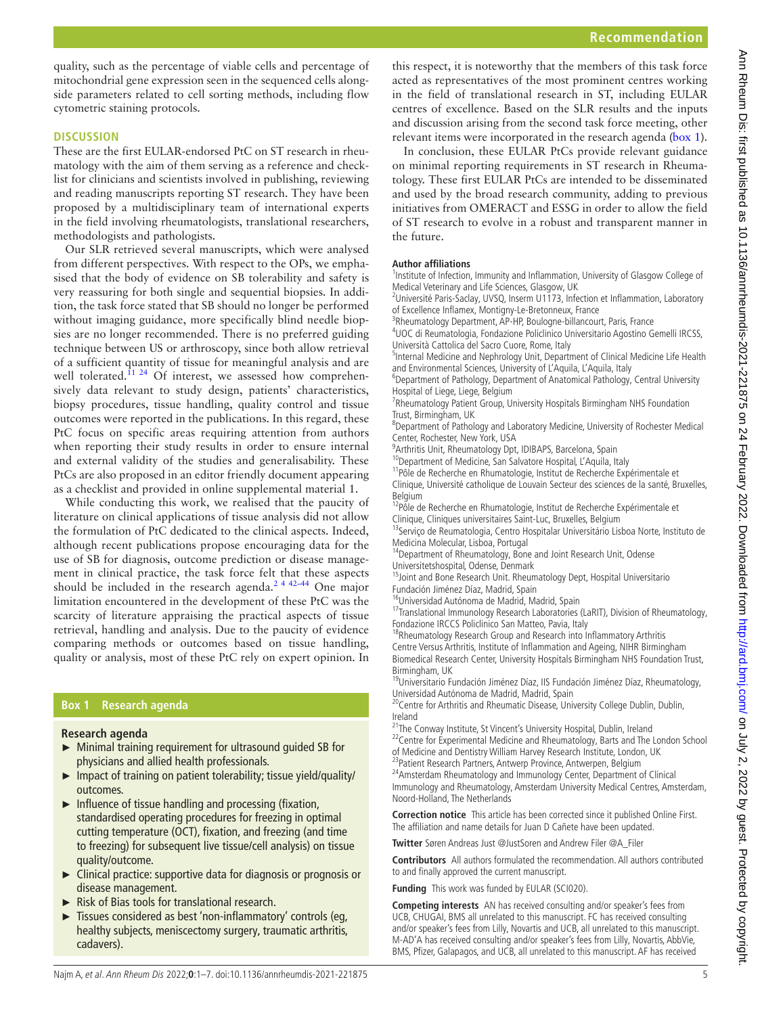quality, such as the percentage of viable cells and percentage of mitochondrial gene expression seen in the sequenced cells alongside parameters related to cell sorting methods, including flow cytometric staining protocols.

#### **DISCUSSION**

These are the first EULAR-endorsed PtC on ST research in rheumatology with the aim of them serving as a reference and checklist for clinicians and scientists involved in publishing, reviewing and reading manuscripts reporting ST research. They have been proposed by a multidisciplinary team of international experts in the field involving rheumatologists, translational researchers, methodologists and pathologists.

Our SLR retrieved several manuscripts, which were analysed from different perspectives. With respect to the OPs, we emphasised that the body of evidence on SB tolerability and safety is very reassuring for both single and sequential biopsies. In addition, the task force stated that SB should no longer be performed without imaging guidance, more specifically blind needle biopsies are no longer recommended. There is no preferred guiding technique between US or arthroscopy, since both allow retrieval of a sufficient quantity of tissue for meaningful analysis and are well tolerated.<sup>11 24</sup> Of interest, we assessed how comprehensively data relevant to study design, patients' characteristics, biopsy procedures, tissue handling, quality control and tissue outcomes were reported in the publications. In this regard, these PtC focus on specific areas requiring attention from authors when reporting their study results in order to ensure internal and external validity of the studies and generalisability. These PtCs are also proposed in an editor friendly document appearing as a checklist and provided in [online supplemental material 1.](https://dx.doi.org/10.1136/annrheumdis-2021-221875)

While conducting this work, we realised that the paucity of literature on clinical applications of tissue analysis did not allow the formulation of PtC dedicated to the clinical aspects. Indeed, although recent publications propose encouraging data for the use of SB for diagnosis, outcome prediction or disease management in clinical practice, the task force felt that these aspects should be included in the research agenda.<sup>2 4 42-44</sup> One major limitation encountered in the development of these PtC was the scarcity of literature appraising the practical aspects of tissue retrieval, handling and analysis. Due to the paucity of evidence comparing methods or outcomes based on tissue handling, quality or analysis, most of these PtC rely on expert opinion. In

# **Box 1 Research agenda**

#### <span id="page-4-0"></span>**Research agenda**

- ► Minimal training requirement for ultrasound guided SB for physicians and allied health professionals.
- ► Impact of training on patient tolerability; tissue yield/quality/ outcomes.
- ► Influence of tissue handling and processing (fixation, standardised operating procedures for freezing in optimal cutting temperature (OCT), fixation, and freezing (and time to freezing) for subsequent live tissue/cell analysis) on tissue quality/outcome.
- ► Clinical practice: supportive data for diagnosis or prognosis or disease management.
- ► Risk of Bias tools for translational research.
- Tissues considered as best 'non-inflammatory' controls (eg, healthy subjects, meniscectomy surgery, traumatic arthritis, cadavers).

this respect, it is noteworthy that the members of this task force acted as representatives of the most prominent centres working in the field of translational research in ST, including EULAR centres of excellence. Based on the SLR results and the inputs and discussion arising from the second task force meeting, other relevant items were incorporated in the research agenda [\(box](#page-4-0) 1).

In conclusion, these EULAR PtCs provide relevant guidance on minimal reporting requirements in ST research in Rheumatology. These first EULAR PtCs are intended to be disseminated and used by the broad research community, adding to previous initiatives from OMERACT and ESSG in order to allow the field of ST research to evolve in a robust and transparent manner in the future.

#### **Author affiliations**

<sup>1</sup>Institute of Infection, Immunity and Inflammation, University of Glasgow College of Medical Veterinary and Life Sciences, Glasgow, UK

<sup>2</sup>Université Paris-Saclay, UVSQ, Inserm U1173, Infection et Inflammation, Laboratory of Excellence Inflamex, Montigny-Le-Bretonneux, France

<sup>3</sup>Rheumatology Department, AP-HP, Boulogne-billancourt, Paris, France

<sup>4</sup>UOC di Reumatologia, Fondazione Policlinico Universitario Agostino Gemelli IRCSS, Università Cattolica del Sacro Cuore, Rome, Italy

<sup>5</sup>Internal Medicine and Nephrology Unit, Department of Clinical Medicine Life Health and Environmental Sciences, University of L'Aquila, L'Aquila, Italy

<sup>6</sup>Department of Pathology, Department of Anatomical Pathology, Central University Hospital of Liege, Liege, Belgium

<sup>7</sup>Rheumatology Patient Group, University Hospitals Birmingham NHS Foundation Trust, Birmingham, UK

<sup>8</sup>Department of Pathology and Laboratory Medicine, University of Rochester Medical Center, Rochester, New York, USA

<sup>9</sup> Arthritis Unit, Rheumatology Dpt, IDIBAPS, Barcelona, Spain

<sup>10</sup>Department of Medicine, San Salvatore Hospital, L'Aquila, Italy

<sup>11</sup>Pôle de Recherche en Rhumatologie, Institut de Recherche Expérimentale et Clinique, Université catholique de Louvain Secteur des sciences de la santé, Bruxelles, Belgium

<sup>12</sup>Pôle de Recherche en Rhumatologie, Institut de Recherche Expérimentale et

Clinique, Cliniques universitaires Saint-Luc, Bruxelles, Belgium<br><sup>13</sup>Serviço de Reumatologia, Centro Hospitalar Universitário Lisboa Norte, Instituto de Medicina Molecular, Lisboa, Portugal

<sup>14</sup>Department of Rheumatology, Bone and Joint Research Unit, Odense Universitetshospital, Odense, Denmark

<sup>15</sup>Joint and Bone Research Unit. Rheumatology Dept, Hospital Universitario Fundación Jiménez Díaz, Madrid, Spain

<sup>16</sup>Universidad Autónoma de Madrid, Madrid, Spain

17Translational Immunology Research Laboratories (LaRIT), Division of Rheumatology, Fondazione IRCCS Policlinico San Matteo, Pavia, Italy

<sup>18</sup>Rheumatology Research Group and Research into Inflammatory Arthritis Centre Versus Arthritis, Institute of Inflammation and Ageing, NIHR Birmingham Biomedical Research Center, University Hospitals Birmingham NHS Foundation Trust, Birmingham, UK

<sup>19</sup>Universitario Fundación Jiménez Díaz, IIS Fundación Jiménez Díaz, Rheumatology, Universidad Autónoma de Madrid, Madrid, Spain

<sup>20</sup> Centre for Arthritis and Rheumatic Disease, University College Dublin, Dublin, Ireland

<sup>21</sup>The Conway Institute, St Vincent's University Hospital, Dublin, Ireland

<sup>22</sup> Centre for Experimental Medicine and Rheumatology, Barts and The London School of Medicine and Dentistry William Harvey Research Institute, London, UK

<sup>23</sup>Patient Research Partners, Antwerp Province, Antwerpen, Belgium

<sup>24</sup> Amsterdam Rheumatology and Immunology Center, Department of Clinical Immunology and Rheumatology, Amsterdam University Medical Centres, Amsterdam, Noord-Holland, The Netherlands

**Correction notice** This article has been corrected since it published Online First. The affiliation and name details for Juan D Cañete have been updated.

**Twitter** Søren Andreas Just [@JustSoren](https://twitter.com/JustSoren) and Andrew Filer [@A\\_Filer](https://twitter.com/A_Filer)

**Contributors** All authors formulated the recommendation. All authors contributed to and finally approved the current manuscript.

**Funding** This work was funded by EULAR (SCI020).

**Competing interests** AN has received consulting and/or speaker's fees from UCB, CHUGAI, BMS all unrelated to this manuscript. FC has received consulting and/or speaker's fees from Lilly, Novartis and UCB, all unrelated to this manuscript. M-AD'A has received consulting and/or speaker's fees from Lilly, Novartis, AbbVie, BMS, Pfizer, Galapagos, and UCB, all unrelated to this manuscript. AF has received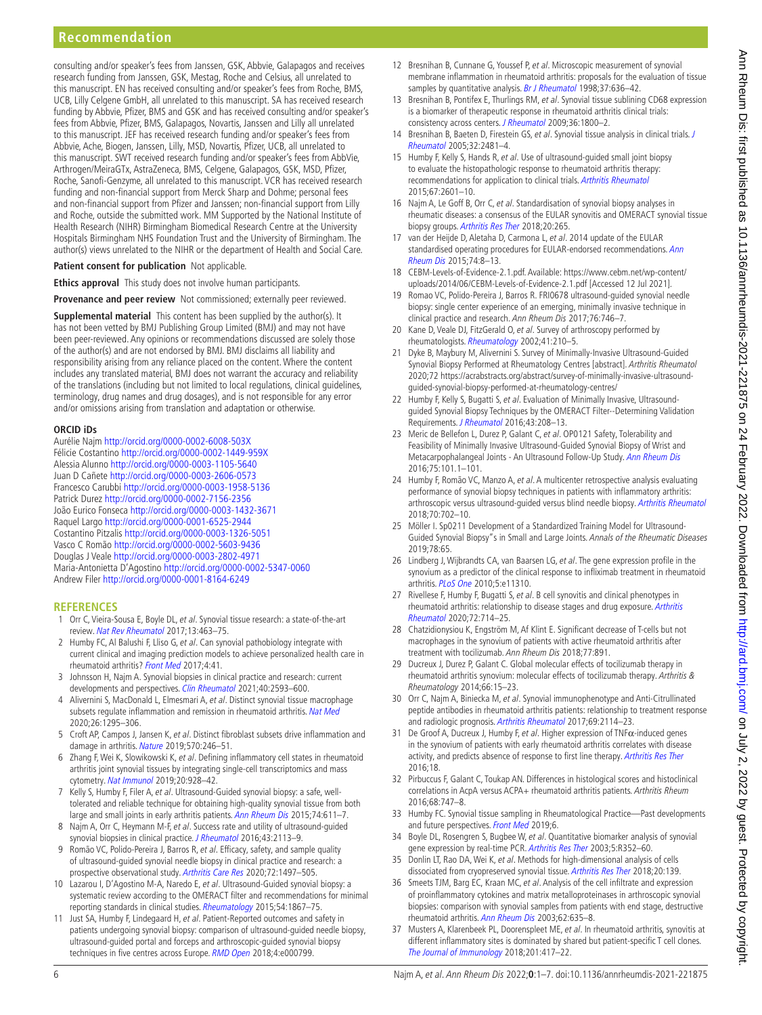consulting and/or speaker's fees from Janssen, GSK, Abbvie, Galapagos and receives research funding from Janssen, GSK, Mestag, Roche and Celsius, all unrelated to this manuscript. EN has received consulting and/or speaker's fees from Roche, BMS, UCB, Lilly Celgene GmbH, all unrelated to this manuscript. SA has received research funding by Abbvie, Pfizer, BMS and GSK and has received consulting and/or speaker's fees from Abbvie, Pfizer, BMS, Galapagos, Novartis, Janssen and Lilly all unrelated to this manuscript. JEF has received research funding and/or speaker's fees from Abbvie, Ache, Biogen, Janssen, Lilly, MSD, Novartis, Pfizer, UCB, all unrelated to this manuscript. SWT received research funding and/or speaker's fees from AbbVie, Arthrogen/MeiraGTx, AstraZeneca, BMS, Celgene, Galapagos, GSK, MSD, Pfizer, Roche, Sanofi-Genzyme, all unrelated to this manuscript. VCR has received research funding and non-financial support from Merck Sharp and Dohme; personal fees and non-financial support from Pfizer and Janssen; non-financial support from Lilly and Roche, outside the submitted work. MM Supported by the National Institute of Health Research (NIHR) Birmingham Biomedical Research Centre at the University Hospitals Birmingham NHS Foundation Trust and the University of Birmingham. The author(s) views unrelated to the NIHR or the department of Health and Social Care.

#### **Patient consent for publication** Not applicable.

**Ethics approval** This study does not involve human participants.

**Provenance and peer review** Not commissioned; externally peer reviewed.

**Supplemental material** This content has been supplied by the author(s). It has not been vetted by BMJ Publishing Group Limited (BMJ) and may not have been peer-reviewed. Any opinions or recommendations discussed are solely those of the author(s) and are not endorsed by BMJ. BMJ disclaims all liability and responsibility arising from any reliance placed on the content. Where the content includes any translated material, BMJ does not warrant the accuracy and reliability of the translations (including but not limited to local regulations, clinical guidelines, terminology, drug names and drug dosages), and is not responsible for any error and/or omissions arising from translation and adaptation or otherwise.

#### **ORCID iDs**

Aurélie Najm <http://orcid.org/0000-0002-6008-503X> Félicie Costantino<http://orcid.org/0000-0002-1449-959X> Alessia Alunno <http://orcid.org/0000-0003-1105-5640> Juan D Cañete<http://orcid.org/0000-0003-2606-0573> Francesco Carubbi <http://orcid.org/0000-0003-1958-5136> Patrick Durez <http://orcid.org/0000-0002-7156-2356> João Eurico Fonseca <http://orcid.org/0000-0003-1432-3671> Raquel Largo<http://orcid.org/0000-0001-6525-2944> Costantino Pitzalis <http://orcid.org/0000-0003-1326-5051> Vasco C Romão<http://orcid.org/0000-0002-5603-9436> Douglas J Veale<http://orcid.org/0000-0003-2802-4971> Maria-Antonietta D'Agostino<http://orcid.org/0000-0002-5347-0060> Andrew Filer <http://orcid.org/0000-0001-8164-6249>

#### **REFERENCES**

- <span id="page-5-0"></span>1 Orr C, Vieira-Sousa E, Boyle DL, et al. Synovial tissue research: a state-of-the-art review. [Nat Rev Rheumatol](http://dx.doi.org/10.1038/nrrheum.2017.115) 2017;13:463–75.
- <span id="page-5-13"></span>2 Humby FC, Al Balushi F, Lliso G, et al. Can synovial pathobiology integrate with current clinical and imaging prediction models to achieve personalized health care in rheumatoid arthritis? [Front Med](http://dx.doi.org/10.3389/fmed.2017.00041) 2017;4:41.
- 3 Johnsson H, Najm A. Synovial biopsies in clinical practice and research: current developments and perspectives. [Clin Rheumatol](http://dx.doi.org/10.1007/s10067-020-05512-7) 2021;40:2593-600.
- <span id="page-5-1"></span>4 Alivernini S, MacDonald L, Elmesmari A, et al. Distinct synovial tissue macrophage subsets regulate inflammation and remission in rheumatoid arthritis. [Nat Med](http://dx.doi.org/10.1038/s41591-020-0939-8) 2020;26:1295–306.
- 5 Croft AP, Campos J, Jansen K, et al. Distinct fibroblast subsets drive inflammation and damage in arthritis. [Nature](http://dx.doi.org/10.1038/s41586-019-1263-7) 2019;570:246-51.
- 6 Zhang F, Wei K, Slowikowski K, et al. Defining inflammatory cell states in rheumatoid arthritis joint synovial tissues by integrating single-cell transcriptomics and mass cytometry. [Nat Immunol](http://dx.doi.org/10.1038/s41590-019-0378-1) 2019;20:928–42.
- <span id="page-5-2"></span>7 Kelly S, Humby F, Filer A, et al. Ultrasound-Guided synovial biopsy: a safe, welltolerated and reliable technique for obtaining high-quality synovial tissue from both large and small joints in early arthritis patients. [Ann Rheum Dis](http://dx.doi.org/10.1136/annrheumdis-2013-204603) 2015;74:611-7.
- 8 Najm A, Orr C, Heymann M-F, et al. Success rate and utility of ultrasound-guided synovial biopsies in clinical practice. [J Rheumatol](http://dx.doi.org/10.3899/jrheum.151441) 2016;43:2113-9.
- 9 Romão VC, Polido-Pereira J, Barros R, et al. Efficacy, safety, and sample quality of ultrasound-guided synovial needle biopsy in clinical practice and research: a prospective observational study. [Arthritis Care Res](http://dx.doi.org/10.1002/acr.24050) 2020;72:1497-505
- 10 Lazarou I, D'Agostino M-A, Naredo E, et al. Ultrasound-Guided synovial biopsy: a systematic review according to the OMERACT filter and recommendations for minimal reporting standards in clinical studies. [Rheumatology](http://dx.doi.org/10.1093/rheumatology/kev128) 2015;54:1867–75.
- <span id="page-5-6"></span>11 Just SA, Humby F, Lindegaard H, et al. Patient-Reported outcomes and safety in patients undergoing synovial biopsy: comparison of ultrasound-guided needle biopsy, ultrasound-guided portal and forceps and arthroscopic-guided synovial biopsy techniques in five centres across Europe. [RMD Open](http://dx.doi.org/10.1136/rmdopen-2018-000799) 2018;4:e000799.
- <span id="page-5-3"></span>12 Bresnihan B, Cunnane G, Youssef P, et al. Microscopic measurement of synovial membrane inflammation in rheumatoid arthritis: proposals for the evaluation of tissue samples by quantitative analysis. [Br J Rheumatol](http://dx.doi.org/10.1093/rheumatology/37.6.636) 1998;37:636-42.
- 13 Bresnihan B, Pontifex E, Thurlings RM, et al. Synovial tissue sublining CD68 expression is a biomarker of therapeutic response in rheumatoid arthritis clinical trials: consistency across centers. [J Rheumatol](http://dx.doi.org/10.3899/jrheum.090348) 2009;36:1800-2.
- 14 Bresnihan B, Baeten D, Firestein GS, et al. Synovial tissue analysis in clinical trials. J [Rheumatol](http://www.ncbi.nlm.nih.gov/pubmed/16331792) 2005;32:2481–4.
- <span id="page-5-9"></span>15 Humby F, Kelly S, Hands R, et al. Use of ultrasound-guided small joint biopsy to evaluate the histopathologic response to rheumatoid arthritis therapy: recommendations for application to clinical trials. [Arthritis Rheumatol](http://dx.doi.org/10.1002/art.39235) 2015;67:2601–10.
- 16 Najm A, Le Goff B, Orr C, et al. Standardisation of synovial biopsy analyses in rheumatic diseases: a consensus of the EULAR synovitis and OMERACT synovial tissue biopsy groups. [Arthritis Res Ther](http://dx.doi.org/10.1186/s13075-018-1762-1) 2018;20:265.
- <span id="page-5-4"></span>17 van der Heijde D, Aletaha D, Carmona L, et al. 2014 update of the EULAR standardised operating procedures for EULAR-endorsed recommendations. Ann [Rheum Dis](http://dx.doi.org/10.1136/annrheumdis-2014-206350) 2015;74:8–13.
- <span id="page-5-5"></span>18 CEBM-Levels-of-Evidence-2.1.pdf. Available: [https://www.cebm.net/wp-content/](https://www.cebm.net/wp-content/uploads/2014/06/CEBM-Levels-of-Evidence-2.1.pdf) [uploads/2014/06/CEBM-Levels-of-Evidence-2.1.pdf](https://www.cebm.net/wp-content/uploads/2014/06/CEBM-Levels-of-Evidence-2.1.pdf) [Accessed 12 Jul 2021].
- 19 Romao VC, Polido-Pereira J, Barros R. FRI0678 ultrasound-guided synovial needle biopsy: single center experience of an emerging, minimally invasive technique in clinical practice and research. Ann Rheum Dis 2017;76:746–7.
- 20 Kane D, Veale DJ, FitzGerald O, et al. Survey of arthroscopy performed by rheumatologists. [Rheumatology](http://dx.doi.org/10.1093/rheumatology/41.2.210) 2002;41:210–5.
- 21 Dyke B, Maybury M, Alivernini S. Survey of Minimally-Invasive Ultrasound-Guided Synovial Biopsy Performed at Rheumatology Centres [abstract]. Arthritis Rheumatol 2020;72 [https://acrabstracts.org/abstract/survey-of-minimally-invasive-ultrasound](https://acrabstracts.org/abstract/survey-of-minimally-invasive-ultrasound-guided-synovial-biopsy-performed-at-rheumatology-centres/)[guided-synovial-biopsy-performed-at-rheumatology-centres/](https://acrabstracts.org/abstract/survey-of-minimally-invasive-ultrasound-guided-synovial-biopsy-performed-at-rheumatology-centres/)
- 22 Humby F, Kelly S, Bugatti S, et al. Evaluation of Minimally Invasive, Ultrasoundguided Synovial Biopsy Techniques by the OMERACT Filter--Determining Validation Requirements. [J Rheumatol](http://dx.doi.org/10.3899/jrheum.141199) 2016;43:208-13.
- 23 Meric de Bellefon L, Durez P, Galant C, et al. OP0121 Safety, Tolerability and Feasibility of Minimally Invasive Ultrasound-Guided Synovial Biopsy of Wrist and Metacarpophalangeal Joints - An Ultrasound Follow-Up Study. [Ann Rheum Dis](http://dx.doi.org/10.1136/annrheumdis-2016-eular.5386) 2016;75:101.1–101.
- <span id="page-5-7"></span>24 Humby F, Romão VC, Manzo A, et al. A multicenter retrospective analysis evaluating performance of synovial biopsy techniques in patients with inflammatory arthritis: arthroscopic versus ultrasound-guided versus blind needle biopsy. [Arthritis Rheumatol](http://dx.doi.org/10.1002/art.40433) 2018;70:702–10.
- <span id="page-5-8"></span>25 Möller I. Sp0211 Development of a Standardized Training Model for Ultrasound-Guided Synovial Biopsy"s in Small and Large Joints. Annals of the Rheumatic Diseases 2019;78:65.
- 26 Lindberg J, Wijbrandts CA, van Baarsen LG, et al. The gene expression profile in the synovium as a predictor of the clinical response to infliximab treatment in rheumatoid arthritis. [PLoS One](http://dx.doi.org/10.1371/journal.pone.0011310) 2010;5:e11310.
- 27 Rivellese F, Humby F, Bugatti S, et al. B cell synovitis and clinical phenotypes in rheumatoid arthritis: relationship to disease stages and drug exposure. [Arthritis](http://dx.doi.org/10.1002/art.41184)  [Rheumatol](http://dx.doi.org/10.1002/art.41184) 2020;72:714–25.
- 28 Chatzidionysiou K, Engström M, Af Klint E. Significant decrease of T-cells but not macrophages in the synovium of patients with active rheumatoid arthritis after treatment with tocilizumab. Ann Rheum Dis 2018;77:891.
- 29 Ducreux J, Durez P, Galant C. Global molecular effects of tocilizumab therapy in rheumatoid arthritis synovium: molecular effects of tocilizumab therapy. Arthritis & Rheumatology 2014;66:15–23.
- 30 Orr C, Najm A, Biniecka M, et al. Synovial immunophenotype and Anti-Citrullinated peptide antibodies in rheumatoid arthritis patients: relationship to treatment response and radiologic prognosis. [Arthritis Rheumatol](http://dx.doi.org/10.1002/art.40218) 2017;69:2114-23.
- 31 De Groof A, Ducreux J, Humby F, et al. Higher expression of TNFα-induced genes in the synovium of patients with early rheumatoid arthritis correlates with disease activity, and predicts absence of response to first line therapy. Arthritis Res The. 2016;18.
- 32 Pirbuccus F, Galant C, Toukap AN. Differences in histological scores and histoclinical correlations in AcpA versus ACPA+ rheumatoid arthritis patients. Arthritis Rheum 2016;68:747–8.
- 33 Humby FC. Synovial tissue sampling in Rheumatological Practice—Past developments and future perspectives. [Front Med](http://dx.doi.org/10.3389/fmed.2019.00004) 2019;6.
- <span id="page-5-11"></span>34 Boyle DL, Rosengren S, Bugbee W, et al. Quantitative biomarker analysis of synovial gene expression by real-time PCR. [Arthritis Res Ther](http://dx.doi.org/10.1186/ar1004) 2003;5:R352-60. 35 Donlin LT, Rao DA, Wei K, et al. Methods for high-dimensional analysis of cells
- <span id="page-5-12"></span>dissociated from cryopreserved synovial tissue. [Arthritis Res Ther](http://dx.doi.org/10.1186/s13075-018-1631-y) 2018;20:139.
- <span id="page-5-10"></span>36 Smeets TJM, Barg EC, Kraan MC, et al. Analysis of the cell infiltrate and expression of proinflammatory cytokines and matrix metalloproteinases in arthroscopic synovial biopsies: comparison with synovial samples from patients with end stage, destructive rheumatoid arthritis. [Ann Rheum Dis](http://dx.doi.org/10.1136/ard.62.7.635) 2003;62:635–8.
- 37 Musters A, Klarenbeek PL, Doorenspleet ME, et al. In rheumatoid arthritis, synovitis at different inflammatory sites is dominated by shared but patient-specific T cell clones. [The Journal of Immunology](http://dx.doi.org/10.4049/jimmunol.1800421) 2018;201:417–22.